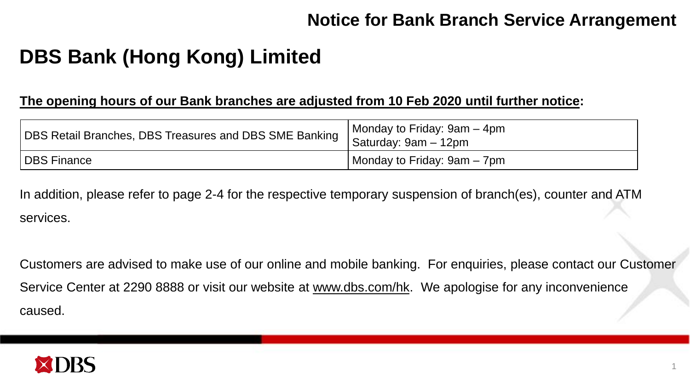# **DBS Bank (Hong Kong) Limited**

#### **The opening hours of our Bank branches are adjusted from 10 Feb 2020 until further notice:**

| DBS Retail Branches, DBS Treasures and DBS SME Banking | Monday to Friday: 9am – 4pm<br>Saturday: 9am - 12pm |
|--------------------------------------------------------|-----------------------------------------------------|
| <b>DBS Finance</b>                                     | Monday to Friday: 9am – 7pm                         |

In addition, please refer to page 2-4 for the respective temporary suspension of branch(es), counter and ATM services.

Customers are advised to make use of our online and mobile banking. For enquiries, please contact our Customer Service Center at 2290 8888 or visit our website at [www.dbs.com/hk.](http://www.dbs.com/hk) We apologise for any inconvenience caused.

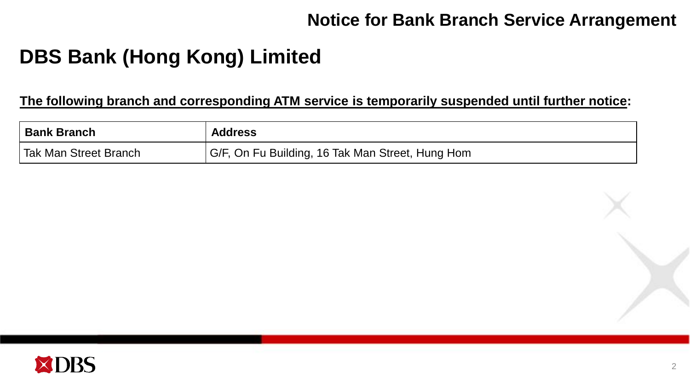# **DBS Bank (Hong Kong) Limited**

#### **The following branch and corresponding ATM service is temporarily suspended until further notice:**

| <b>Bank Branch</b>    | <b>Address</b>                                   |
|-----------------------|--------------------------------------------------|
| Tak Man Street Branch | G/F, On Fu Building, 16 Tak Man Street, Hung Hom |

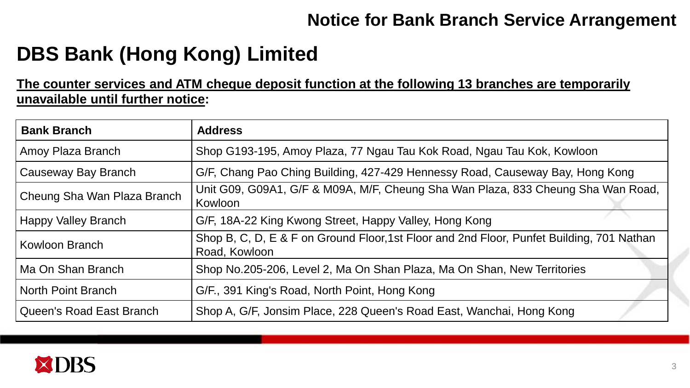# **DBS Bank (Hong Kong) Limited**

### **The counter services and ATM cheque deposit function at the following 13 branches are temporarily unavailable until further notice:**

| <b>Bank Branch</b>          | <b>Address</b>                                                                                             |
|-----------------------------|------------------------------------------------------------------------------------------------------------|
| Amoy Plaza Branch           | Shop G193-195, Amoy Plaza, 77 Ngau Tau Kok Road, Ngau Tau Kok, Kowloon                                     |
| Causeway Bay Branch         | G/F, Chang Pao Ching Building, 427-429 Hennessy Road, Causeway Bay, Hong Kong                              |
| Cheung Sha Wan Plaza Branch | Unit G09, G09A1, G/F & M09A, M/F, Cheung Sha Wan Plaza, 833 Cheung Sha Wan Road,<br>Kowloon                |
| <b>Happy Valley Branch</b>  | G/F, 18A-22 King Kwong Street, Happy Valley, Hong Kong                                                     |
| Kowloon Branch              | Shop B, C, D, E & F on Ground Floor, 1st Floor and 2nd Floor, Punfet Building, 701 Nathan<br>Road, Kowloon |
| Ma On Shan Branch           | Shop No.205-206, Level 2, Ma On Shan Plaza, Ma On Shan, New Territories                                    |
| North Point Branch          | G/F., 391 King's Road, North Point, Hong Kong                                                              |
| Queen's Road East Branch    | Shop A, G/F, Jonsim Place, 228 Queen's Road East, Wanchai, Hong Kong                                       |